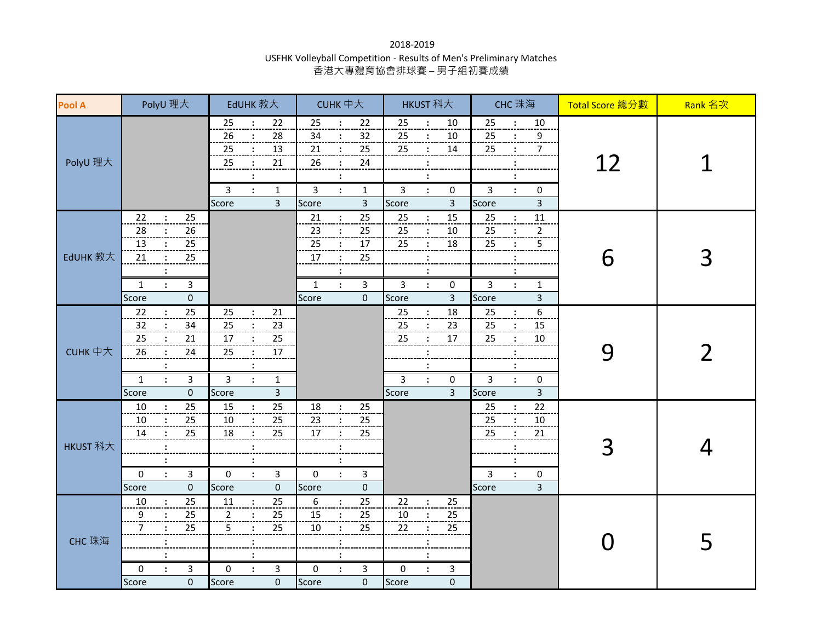## 2018-2019 USFHK Volleyball Competition - Results of Men's Preliminary Matches 香港大專體育協會排球賽 – 男子組初賽成績

| <b>Pool A</b> | PolyU 理大                                                                                                                                                             | EdUHK 教大                                                                                                                                                                                               | CUHK 中大                                                                                                                                                                                                         | HKUST 科大                                                                                                                                                                                                               | CHC 珠海                                                                                                                                                                                 | Total Score 總分數 | Rank 名次 |
|---------------|----------------------------------------------------------------------------------------------------------------------------------------------------------------------|--------------------------------------------------------------------------------------------------------------------------------------------------------------------------------------------------------|-----------------------------------------------------------------------------------------------------------------------------------------------------------------------------------------------------------------|------------------------------------------------------------------------------------------------------------------------------------------------------------------------------------------------------------------------|----------------------------------------------------------------------------------------------------------------------------------------------------------------------------------------|-----------------|---------|
| PolyU 理大      |                                                                                                                                                                      | $22\,$<br>25<br>$\ddot{\cdot}$<br>28<br>26<br>25<br>13<br>25<br>21<br>$\ddot{\cdot}$<br>$\overline{3}$<br>$\mathbf{1}$<br>$\ddot{\cdot}$<br>$\overline{3}$<br>Score                                    | 22<br>25<br>$\ddot{\cdot}$<br>34<br>32<br>$\ddot{\cdot}$<br>21<br>25<br>$\ddot{\phantom{a}}$<br>24<br>26<br>$\ddot{\phantom{a}}$<br>3<br>$\mathbf{1}$<br>$\ddot{\phantom{a}}$<br>$\overline{3}$<br>Score        | 10<br>25<br>$\ddot{\cdot}$<br>25<br>10<br>$\ddot{\cdot}$<br>25<br>14<br>$\ddot{\cdot}$<br>$\ddot{\cdot}$<br>$\cdot$<br>$\overline{3}$<br>0<br>$\ddot{\cdot}$<br>$\overline{3}$<br>Score                                | 25<br>10<br>$\ddot{\cdot}$<br>25<br>9<br>25<br>7<br>3<br>0<br>$\ddot{\cdot}$<br>3<br>Score                                                                                             | 12              |         |
| EdUHK 教大      | 22<br>25<br>$\ddot{\cdot}$<br>28<br>26<br>13<br>25<br>$25\,$<br>21<br>$\ddot{\phantom{a}}$<br>$\mathsf{3}$<br>$\mathbf{1}$<br>$\ddot{\cdot}$<br>$\mathbf 0$<br>Score |                                                                                                                                                                                                        | 25<br>21<br>$\div$<br>$\cdot$<br>25<br>23<br>$17\,$<br>25<br>$\ddot{\phantom{a}}$<br>25<br>17<br>$\ddot{\cdot}$<br>$\ddot{\phantom{a}}$<br>$\mathbf{r}$<br>$\mathbf{3}$<br>$\mathbf{1}$<br>$\mathbf 0$<br>Score | 25<br>15<br>$\ddot{\cdot}$<br>25<br>$\ddot{\cdot}$<br>10<br>25<br>18<br>$\ddot{\phantom{a}}$<br>$\ddot{\phantom{a}}$<br>$\ddot{\phantom{a}}$<br>$\overline{3}$<br>$\ddot{\phantom{a}}$<br>0<br>$\overline{3}$<br>Score | 25<br>$11\,$<br>$\ddot{\cdot}$<br>25<br>$\mathbf 2$<br>$\ddot{\cdot}$<br>5<br>25<br>$\ddot{\cdot}$<br>$\ddot{\cdot}$<br>$\overline{3}$<br>$\ddot{\cdot}$<br>$\mathbf{1}$<br>3<br>Score | 6               | 3       |
| CUHK 中大       | 25<br>22<br>34<br>32<br>21<br>25<br>24<br>26<br>3<br>$\mathbf{1}$<br>$\ddot{\cdot}$<br>$\pmb{0}$<br>Score                                                            | 25<br>$21\,$<br>$\mathbf{r}$<br>25<br>$\overline{23}$<br>$\frac{25}{25}$<br>17<br>$17\,$<br>25<br>$\cdot$<br>$\ddot{\cdot}$<br>$\mathsf{3}$<br>$\ddot{\cdot}$<br>1<br>$\overline{\mathbf{3}}$<br>Score |                                                                                                                                                                                                                 | 18<br>25<br>$\cdot$<br>25<br>23<br>$\frac{17}{1}$<br>25<br>$\ddot{\cdot}$<br>$\mathbf{3}$<br>$\ddot{\cdot}$<br>0<br>$\overline{3}$<br>Score                                                                            | 6<br>25<br>$\ddot{\cdot}$<br>15<br>25<br>$\ddot{\cdot}$<br>25<br>$10\,$<br>3<br>0<br>$\ddot{\cdot}$<br>$\overline{3}$<br>Score                                                         | 9               | フ       |
| HKUST 科大      | $\frac{25}{2}$<br>10<br>$\frac{25}{2}$<br>10<br>25<br>14<br>0<br>3<br>$\ddot{\cdot}$<br>$\pmb{0}$<br>Score                                                           | $\frac{25}{1}$<br>15<br>:<br>25<br>10<br>25<br>18<br>$\ddot{\phantom{a}}$<br>$\pmb{0}$<br>3<br>$\ddot{\cdot}$<br>Score<br>$\mathbf 0$                                                                  | 18<br>25<br>$\ddot{\phantom{a}}$<br>$\overline{23}$<br>25<br>25<br>17<br>÷<br>0<br>$\ddot{\phantom{a}}$<br>3<br>Score<br>0                                                                                      |                                                                                                                                                                                                                        | 22<br>25<br>25<br>10<br>25<br>21<br>:<br>3<br>0<br>$\ddot{\cdot}$<br>$\overline{\mathbf{3}}$<br>Score                                                                                  | 3               |         |
| CHC 珠海        | 25<br>10<br>$\ddot{\cdot}$<br>25<br>9<br>$\overline{7}$<br>25<br>$\mathsf{3}$<br>0<br>$\ddot{\cdot}$<br>$\pmb{0}$<br>Score                                           | 25<br>11<br>$\ddot{\cdot}$<br>25<br>$\overline{2}$<br>$\ddot{\cdot}$<br>5<br>25<br>$\ddot{\cdot}$<br>$\ddot{\cdot}$<br>$\pmb{0}$<br>3<br>$\ddot{\cdot}$<br>$\pmb{0}$<br>Score                          | 6<br>25<br>$\div$<br>15<br>25<br>$\ddot{\cdot}$<br>10<br>25<br>$\ddot{\cdot}$<br>$\colon$<br>$\ddot{\phantom{a}}$<br>3<br>0<br>$\mathbf{\cdot}$<br>Score<br>0                                                   | 22<br>25<br>$\ddot{\phantom{a}}$<br>10<br>25<br>$\ddot{\cdot}$<br>25<br>22<br>$\ddot{\cdot}$<br>:<br>$\ddot{\cdot}$<br>$\mathbf{3}$<br>0<br>$\ddot{\cdot}$<br>$\pmb{0}$<br>Score                                       |                                                                                                                                                                                        |                 | 5       |